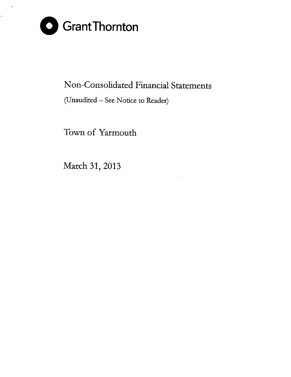

 $\ddot{\phantom{a}}$ 

## Non-Consolidated Financial Statements

## (Unaudited - See Notice to Reader)

Town of Yarmouth

March 31, 2013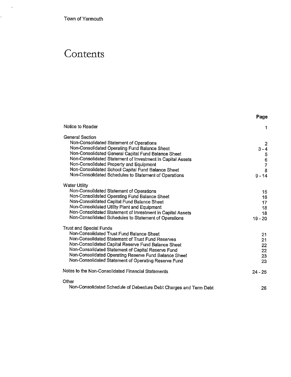Town of Yarmouth

 $\mathcal{A}$ 

k,

# **Contents**

|                                                                                                                                                                                                                                                                                                                                                                                                    | Page                                                                                     |
|----------------------------------------------------------------------------------------------------------------------------------------------------------------------------------------------------------------------------------------------------------------------------------------------------------------------------------------------------------------------------------------------------|------------------------------------------------------------------------------------------|
| Notice to Reader                                                                                                                                                                                                                                                                                                                                                                                   | 1                                                                                        |
| <b>General Section</b><br>Non-Consolidated Statement of Operations<br>Non-Consolidated Operating Fund Balance Sheet<br>Non-Consolidated General Capital Fund Balance Sheet<br>Non-Consolidated Statement of Investment in Capital Assets<br>Non-Consolidated Property and Equipment<br>Non-Consolidated School Capital Fund Balance Sheet<br>Non-Consolidated Schedules to Statement of Operations | $\overline{2}$<br>$3 - 4$<br>$\begin{array}{c} 5 \\ 6 \\ 7 \end{array}$<br>8<br>$9 - 14$ |
| <b>Water Utility</b><br>Non-Consolidated Statement of Operations<br>Non-Consolidated Operating Fund Balance Sheet<br>Non-Consolidated Capital Fund Balance Sheet<br>Non-Consolidated Utility Plant and Equipment<br>Non-Consolidated Statement of Investment in Capital Assets<br>Non-Consolidated Schedules to Statement of Operations                                                            | 15<br>16<br>17<br>18<br>18<br>$19 - 20$                                                  |
| Trust and Special Funds<br>Non-Consolidated Trust Fund Balance Sheet<br>Non-Consolidated Statement of Trust Fund Reserves<br>Non-Consolidated Capital Reserve Fund Balance Sheet<br>Non-Consolidated Statement of Capital Reserve Fund<br>Non-Consolidated Operating Reserve Fund Balance Sheet<br>Non-Consolidated Statement of Operating Reserve Fund                                            | 21<br>21<br>22<br>22<br>23<br>23                                                         |
| Notes to the Non-Consolidated Financial Statements                                                                                                                                                                                                                                                                                                                                                 | $24 - 25$                                                                                |
| Other<br>Non-Consolidated Schedule of Debenture Debt Charges and Term Debt                                                                                                                                                                                                                                                                                                                         | 26                                                                                       |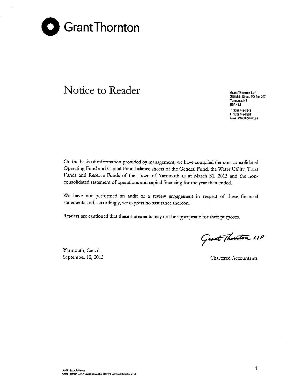

## **Notice to Reader Grant Critical Conduct Critical Conduct Critical Critical Critical Critical Critical** Critical Critical Critical Critical Critical Critical Critical Critical Critical Critical Critical Critical Cr

**328 Main Street PO Box 297 Yarmouth, NS** B5A482 T (902) 742-7842 F (902) 742-0224 **www.GrantThomton.ca**

On the basis of information provided by management, we have compiled the non-consolidated Operating Fund and Capital Fund balance sheets of the General Fund, the Water Utility, Trust Funds and Reserve Funds of the Town of Yarmouth as at March 31, 2013 and the nonconsolidated statement of operations and capital financing for the year then ended.

We have not performed an audit or a review engagement in respect of these financial **statements and, accordingly, we express no assurance thereon.**

Readers are cautioned that these statements may not be appropriate for their purposes.

Yarmouth, Canada

Grant Thouston LLP

September 12, 2013 **Chartered Accountants**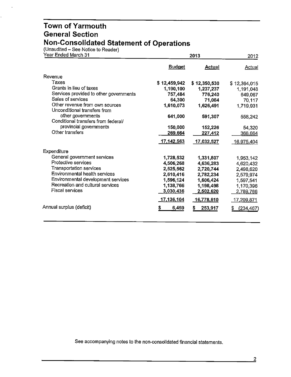(Unaudited - See Notice to Reader)

 $\mathbf{r}$ 

| Year Ended March 31                                            |               | 2013          |                   |  |  |
|----------------------------------------------------------------|---------------|---------------|-------------------|--|--|
|                                                                | <b>Budget</b> | <b>Actual</b> | Actual            |  |  |
| Revenue                                                        |               |               |                   |  |  |
| Taxes                                                          | \$12,459,942  | \$12,350,530  | \$12,364,015      |  |  |
| Grants in lieu of taxes                                        | 1,190,100     | 1,237,237     | 1,191,048         |  |  |
| Services provided to other governments                         | 757,484       | 776,240       | 649,067           |  |  |
| Sales of services                                              | 64,300        | 71,084        | 70,117            |  |  |
| Other revenue from own sources<br>Unconditional transfers from | 1,610,073     | 1,626,491     | 1,719,931         |  |  |
| other governments<br>Conditional transfers from federal/       | 641,000       | 591,307       | 558,242           |  |  |
| provincial governments                                         | 150,000       | 152,226       | 54,320            |  |  |
| Other transfers                                                | 269,664       | 227,412       | 368,664           |  |  |
|                                                                | 17,142,563    | 17,032,527    | 16,975,404        |  |  |
| Expenditure                                                    |               |               |                   |  |  |
| General government services                                    | 1,728,532     | 1,331,807     | 1,953,142         |  |  |
| Protective services                                            | 4,506,268     | 4,636,283     | 4,620,432         |  |  |
| Transportation services                                        | 2,525,562     | 2,720,744     | 2,498,620         |  |  |
| Environmental health services                                  | 2,610,416     | 2,782,234     | 2,579,974         |  |  |
| Environmental development services                             | 1,596,124     | 1,606,424     | 1,597,541         |  |  |
| Recreation and cultural services                               | 1,138,766     | 1,198,498     | 1,170,396         |  |  |
| Fiscal services                                                | 3,030,436     | 2,502,620     | 2,789,766         |  |  |
|                                                                | 17,136,104    | 16,778,610    | <u>17,209,871</u> |  |  |
| Annual surplus (deficit)                                       | s<br>6,459    | 253,917<br>S  | (234, 467)<br>5   |  |  |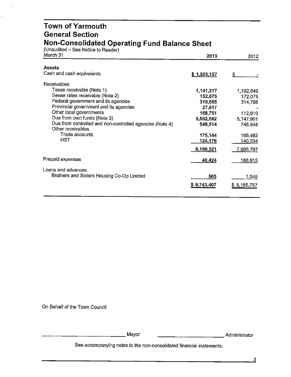#### **Town of Yarmouth General Section Non-Consolidated Operating Fund Balance Sheet**

(Unaudited - See Notice to Reader)

| March 31                                                                      | 2013        | 2012           |
|-------------------------------------------------------------------------------|-------------|----------------|
| <b>Assets</b>                                                                 |             |                |
| Cash and cash equivalents                                                     | \$1,503,157 | \$             |
| Receivables                                                                   |             |                |
| Taxes receivable (Note 1)                                                     | 1,141,217   | 1,192,849      |
| Sewer rates receivable (Note 2)                                               | 152,675     | 172,075        |
| Federal government and its agencies                                           | 310,665     | 314,798        |
| Provincial government and its agencies                                        | 27,617      |                |
| Other local governments                                                       | 168,751     | 112,910        |
| Due from own funds (Note 3)                                                   | 5,552,562   | 5,147,901      |
| Due from controlled and non-controlled agencies (Note 4)<br>Other receivables | 546,514     | 748,548        |
| Trade accounts                                                                | 175,144     | 166,482        |
| <b>HST</b>                                                                    | 124,176     | <u>140,234</u> |
|                                                                               | 8,199,321   | 7,995,797      |
| Prepaid expenses                                                              | 40,424      | <u>188,915</u> |
| Loans and advances                                                            |             |                |
| Brothers and Sisters Housing Co-Op Limited                                    | 505         | 1,045          |
|                                                                               | \$9,743,407 | \$8,185,757    |
|                                                                               |             |                |

On Behalf of the Town Council

\_\_\_\_\_\_\_\_\_\_\_\_\_ Mayor

\_\_\_\_\_\_\_\_\_\_\_ Administrator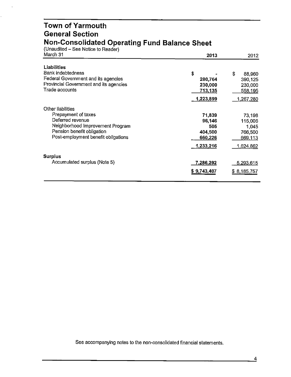#### **Town of Yarmouth General Section Non-Consolidated Operating Fund Balance Sheet**

(Unaudited - See Notice to Reader)

| March 31                               | 2013        | 2012         |
|----------------------------------------|-------------|--------------|
| Liabilities                            |             |              |
| Bank indebtedness                      | \$          | \$<br>88.960 |
| Federal Government and its agencies    | 280,764     | 390,125      |
| Provincial Government and its agencies | 230,000     | 230,000      |
| Trade accounts                         | 713,135     | 558,195      |
|                                        | 1,223,899   | 1,267,280    |
| Other liabilities                      |             |              |
| Prepayment of taxes                    | 71,839      | 73,198       |
| Deferred revenue                       | 96,146      | 115,006      |
| Neighborhood Improvement Program       | 505         | 1,045        |
| Pension benefit obligation             | 404,500     | 766,500      |
| Post-employment benefit obligations    | 660,226     | 669,113      |
|                                        | 1,233,216   | 1,624,862    |
| Surplus                                |             |              |
| Accumulated surplus (Note 5)           | 7,286,292   | 5,293,615    |
|                                        | \$9,743,407 | \$8,185,757  |
|                                        |             |              |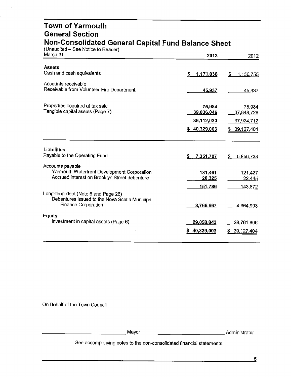#### **Town of Yarmouth General Section Non-Consolidated General Capital Fund Balance Sheet**

| (Unaudited – See Notice to Reader)<br>March 31                                               | 2013                 | 2012                 |
|----------------------------------------------------------------------------------------------|----------------------|----------------------|
| <b>Assets</b><br>Cash and cash equivalents                                                   | \$<br>1,171,036      | \$<br>1,156,755      |
| Accounts receivable                                                                          |                      |                      |
| Receivable from Volunteer Fire Department                                                    | 45,937               | 45,937               |
| Properties acquired at tax sale<br>Tangible capital assets (Page 7)                          | 75,984<br>39,036,046 | 75,984<br>37,848,728 |
|                                                                                              | 39,112,030           | <u>37,924,712</u>    |
|                                                                                              | \$40,329,003         | \$39,127,404         |
|                                                                                              |                      |                      |
| <b>Liabilities</b>                                                                           |                      |                      |
| Payable to the Operating Fund                                                                | \$<br>7,351,707      | \$<br>5,856,733      |
| Accounts payable                                                                             |                      |                      |
| Yarmouth Waterfront Development Corporation<br>Accrued interest on Brooklyn Street debenture | 131,461<br>20,325    | 121,427<br>22,445    |
|                                                                                              | <u>151,786</u>       | 143,872              |
| Long-term debt (Note 6 and Page 26)<br>Debentures issued to the Nova Scotia Municipal        |                      |                      |
| <b>Finance Corporation</b>                                                                   | 3,766,667            | 4,364,993            |
| <b>Equity</b>                                                                                |                      |                      |
| Investment in capital assets (Page 6)                                                        | 29,058,843           | 28,761,806           |
|                                                                                              | 40,329,003           | 39,127,404<br>S.     |
|                                                                                              |                      |                      |

On Behalf of the Town Council

------------Mayor -----------Administrator

Administrator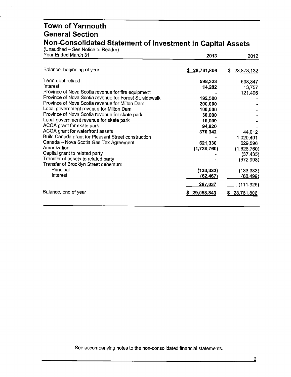#### **Town of Yarmouth General Section Non-Consolidated Statement of Investment in Capital Assets**

| (Unaudited – See Notice to Reader)<br>Year Ended March 31 | 2013         | 2012             |
|-----------------------------------------------------------|--------------|------------------|
|                                                           |              |                  |
| Balance, beginning of year                                | \$28,761,806 | 28,873,132<br>S. |
| Term debt retired                                         | 598,323      | 598,347          |
| Interest                                                  | 14,282       | 13,757           |
| Province of Nova Scotia revenue for fire equipment        |              | 121,496          |
| Province of Nova Scotia revenue for Forest St. sidewalk   | 192,500      |                  |
| Province of Nova Scotia revenue for Milton Dam            | 200,000      |                  |
| Local government revenue for Milton Dam                   | 100,000      |                  |
| Province of Nova Scotia revenue for skate park            | 30,000       |                  |
| Local government revenue for skate park                   | 10,000       |                  |
| ACOA grant for skate park                                 | 94,820       |                  |
| ACOA grant for waterfront assets                          | 370,342      | 44,012           |
| Build Canada grant for Pleasant Street construction       |              | 1,020,491        |
| Canada - Nova Scotia Gas Tax Agreement                    | 621,330      | 629,596          |
| Amortization                                              | (1,738,760)  | (1,626,760)      |
| Capital grant to related party                            |              | (37, 435)        |
| Transfer of assets to related party                       |              | (672,998)        |
| Transfer of Brooklyn Street debenture                     |              |                  |
| Principal                                                 | (133, 333)   | (133, 333)       |
| Interest                                                  | (62,467)     | (68, 499)        |
|                                                           | 297,037      | <u>(111,326)</u> |
| Balance, end of year                                      | 29,058,843   | 28,761,806       |
|                                                           |              |                  |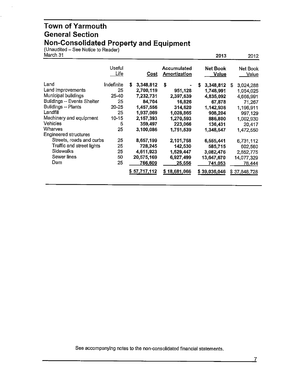#### **Town of Yarmouth General Section Non-Consolidated Property and Equipment**

(Unaudited – See Notice to Reader)

| March 31                                                                                                                                                            |                                                              |                                                                                                      |                                                                                      | 2013                                                                                             | 2012                                                                                               |
|---------------------------------------------------------------------------------------------------------------------------------------------------------------------|--------------------------------------------------------------|------------------------------------------------------------------------------------------------------|--------------------------------------------------------------------------------------|--------------------------------------------------------------------------------------------------|----------------------------------------------------------------------------------------------------|
|                                                                                                                                                                     | Useful<br>Life                                               | <u>Cost</u>                                                                                          | <b>Accumulated</b><br>Amortization                                                   | <b>Net Book</b><br>Value                                                                         | Net Book<br>Value                                                                                  |
| Land<br>Land improvements<br>Municipal buildings<br>Buildings -- Events Shelter<br>Buildings - Plants<br>Landfill<br>Machinery and equipment<br>Vehicles<br>Wharves | Indefinite<br>25<br>25-40<br>25<br>20-25<br>25<br>10-15<br>5 | s<br>3,348,812<br>2,700,119<br>7,232,731<br>84,704<br>1,457,556<br>1,937,069<br>2,157,393<br>359,497 | \$<br>951,128<br>2,397,639<br>16,826<br>314,620<br>1,028,865<br>1,270,593<br>223,066 | 3,348,812<br>s<br>1,748,991<br>4,835,092<br>67,878<br>1,142,936<br>908,204<br>886,800<br>136,431 | 3,024,288<br>\$<br>1,054,025<br>4,666,991<br>71,267<br>1,196,911<br>997,129<br>1,002,930<br>20,417 |
| Engineered structures                                                                                                                                               | 25                                                           | 3,100,086                                                                                            | 1,751,539                                                                            | 1,348,547                                                                                        | 1,472,550                                                                                          |
| Streets, roads and curbs<br>Traffic and street lights<br><b>Sidewalks</b><br>Sewer lines<br>Dam                                                                     | 25<br>25<br>25<br>50<br>25                                   | 8,657,199<br>728,245<br>4,611,923<br>20,575,169<br>766,609<br>\$57,717,112                           | 2,101,758<br>142,530<br>1,529,447<br>6,927,499<br>25,556<br>\$18,681,066             | 6,555,441<br>585,715<br>3,082,476<br>13,647,670<br>741,053<br>\$39,036,046                       | 6,731,112<br>602,560<br>2,852,775<br>14,077,329<br>78,444<br>\$37,848,728                          |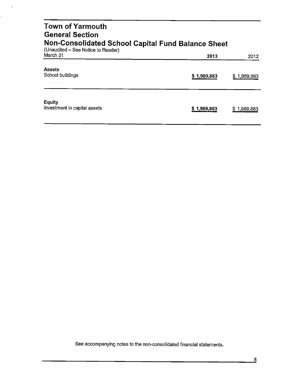| <b>Town of Yarmouth</b><br><b>General Section</b><br><b>Non-Consolidated School Capital Fund Balance Sheet</b> |             |                |
|----------------------------------------------------------------------------------------------------------------|-------------|----------------|
| (Unaudited – See Notice to Reader)<br>March 31                                                                 | 2013        | 2012           |
| <b>Assets</b><br>School buildings                                                                              | \$1,989,863 | \$1,989,863    |
| <b>Equity</b><br>Investment in capital assets                                                                  | \$1,989,863 | 1,989,863<br>S |

 $\bar{\mathcal{A}}$ 

k,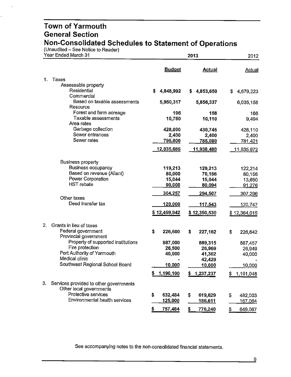(Unaudited – See Notice to Reader)

 $\ddot{\phantom{0}}$ 

 $\ddot{\phantom{0}}$ 

|    | Year Ended March 31                                   |                                           | 2013              |                    |  |  |
|----|-------------------------------------------------------|-------------------------------------------|-------------------|--------------------|--|--|
|    |                                                       | <b>Budget</b>                             | <b>Actual</b>     | <b>Actual</b>      |  |  |
| 1. | Taxes                                                 |                                           |                   |                    |  |  |
|    | Assessable property                                   |                                           |                   |                    |  |  |
|    | Residential                                           | \$<br>4,848,992                           | 4,853,650<br>S.   | 4,679,223<br>S     |  |  |
|    | Commercial<br>Based on taxable assessments            | 5,950,317                                 | 5,856,337         | 6,035,158          |  |  |
|    | Resource<br>Forest and farm acreage                   | 196                                       | 158               |                    |  |  |
|    | Taxable assessments                                   | 10,780                                    | 10,110            | 166<br>9,494       |  |  |
|    | Area rates                                            |                                           |                   |                    |  |  |
|    | Garbage collection                                    | 428,000                                   | 430,745           | 428,110            |  |  |
|    | Sewer entrances<br>Sewer rates                        | 2,400                                     | 2,400             | 2,400              |  |  |
|    |                                                       | 795,000                                   | 785,080           | <u>781,421</u>     |  |  |
|    |                                                       | 12,035,685                                | <u>11,938,480</u> | <u> 11,935,972</u> |  |  |
|    | <b>Business property</b>                              |                                           |                   |                    |  |  |
|    | <b>Business occupancy</b>                             | 119,213                                   | 129,213           | 122,214            |  |  |
|    | Based on revenue (Aliant)                             | 80,000                                    | 70,156            | 80,156             |  |  |
|    | Power Corporation                                     | 15,044                                    | 15,044            | 13,650             |  |  |
|    | <b>HST</b> rebate                                     | 90,000                                    | 80,094            | 91,276             |  |  |
|    | Other taxes                                           | 304,257                                   | 294,507           | 307,296            |  |  |
|    | Deed transfer tax                                     | 120,000                                   | <u>117,543</u>    | 120,747            |  |  |
|    |                                                       | \$12,459,942                              | \$12,350,530      | \$12,364,015       |  |  |
| 2. | Grants in lieu of taxes                               |                                           |                   |                    |  |  |
|    | Federal government                                    | \$<br>226,600                             | \$<br>227,162     | \$<br>226,642      |  |  |
|    | Provincial government                                 |                                           |                   |                    |  |  |
|    | Property of supported institutions<br>Fire protection | 887,000                                   | 889,315           | 887,457            |  |  |
|    | Port Authority of Yarmouth                            | 26,500<br>40,000                          | 26,969            | 26,949             |  |  |
|    | Medical clinic                                        |                                           | 41,362<br>42,429  | 40,000             |  |  |
|    | Southwest Regional School Board                       | 10,000                                    | 10,000            | 10,000             |  |  |
|    |                                                       | \$<br>1,190,100                           | \$<br>1,237,237   | 1,191,048<br>\$    |  |  |
| 3. | Services provided to other governments                |                                           |                   |                    |  |  |
|    | Other local governments                               |                                           |                   |                    |  |  |
|    | Protective services                                   | \$<br>632,484                             | \$<br>619,629     | \$<br>482,003      |  |  |
|    | Environmental health services                         | 125,000                                   | <u>156,611</u>    | 167,064            |  |  |
|    |                                                       | $\overline{\mathbf{z}}$<br><u>757,484</u> | \$<br>776,240     | \$<br>649,067      |  |  |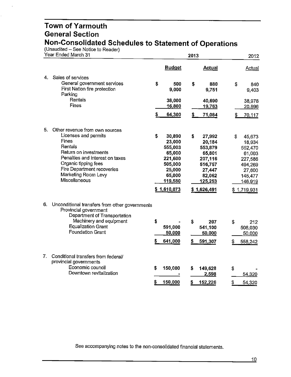(Unaudited – See Notice to Reader)

 $\Delta$ 

 $\ddot{\phantom{0}}$ 

| Year Ended March 31 |                                                                                                                                                                                                                                                    |          | 2013                                                                                                      |          |                                                                                                           |          | 2012                                                                                                     |  |
|---------------------|----------------------------------------------------------------------------------------------------------------------------------------------------------------------------------------------------------------------------------------------------|----------|-----------------------------------------------------------------------------------------------------------|----------|-----------------------------------------------------------------------------------------------------------|----------|----------------------------------------------------------------------------------------------------------|--|
|                     |                                                                                                                                                                                                                                                    |          | <b>Budget</b>                                                                                             |          | <b>Actual</b>                                                                                             |          | Actual                                                                                                   |  |
| 4.                  | Sales of services<br>General government services<br>First Nation fire protection<br>Parking<br>Rentals<br><b>Fines</b>                                                                                                                             | \$       | 500<br>9,000<br>38,000<br>16,800<br>64,300                                                                | \$<br>\$ | 880<br>9,751<br>40,690<br>19,763<br>71,084                                                                | \$       | 840<br>9.403<br>38,978<br>20,896<br>70,117                                                               |  |
| 5.                  | Other revenue from own sources<br>Licenses and permits<br><b>Fines</b><br>Rentals<br>Return on investments<br>Penalties and interest on taxes<br>Organic tipping fees<br>Fire Department recoveries<br>Marketing Room Levy<br><b>Miscellaneous</b> | \$       | 30,890<br>23,000<br>555,003<br>65,000<br>221,600<br>505,000<br>25,000<br>65,000<br>119,580<br>\$1,610,073 | \$       | 27,992<br>20,184<br>553,879<br>65,801<br>207,116<br>516,757<br>27,447<br>82,062<br>125,253<br>\$1,626,491 | \$       | 45,673<br>18,934<br>552,470<br>61,003<br>227,586<br>494,269<br>27,600<br>145,477<br>146,919<br>1,719,931 |  |
| 6.                  | Unconditional transfers from other governments<br>Provincial government<br>Department of Transportation<br>Machinery and equipment<br><b>Equalization Grant</b><br><b>Foundation Grant</b>                                                         | \$<br>s  | 591,000<br>50,000<br>641,000                                                                              | \$       | 207<br>541,100<br>50,000<br>591,307                                                                       | \$       | 212<br>508,030<br>50,000<br>558,242                                                                      |  |
| 7.                  | Conditional transfers from federal/<br>provincial governments<br>Economic council<br>Downtown revitalization                                                                                                                                       | \$<br>\$ | 150,000<br>150,000                                                                                        | \$<br>\$ | 149,628<br>2,598<br>152,226                                                                               | \$<br>\$ | 54,320<br>54,320                                                                                         |  |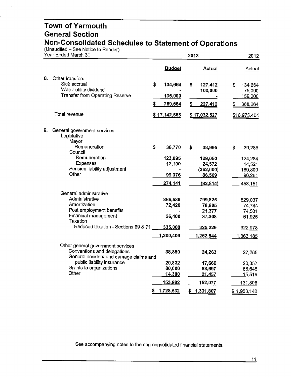(Unaudited - See Notice to Reader)

l.

| Year Ended March 31 |                                                                                                                                       |         | 2013                                   |          |                                                       |          | 2012                                              |  |
|---------------------|---------------------------------------------------------------------------------------------------------------------------------------|---------|----------------------------------------|----------|-------------------------------------------------------|----------|---------------------------------------------------|--|
|                     |                                                                                                                                       |         | <b>Budget</b>                          |          | <b>Actual</b>                                         |          | Actual                                            |  |
| 8.                  | Other transfers<br>Sick accrual<br>Water utility dividend<br><b>Transfer from Operating Reserve</b>                                   | \$<br>S | 134,664<br>135,000<br>269,664          | \$<br>\$ | 127,412<br>100,000<br>227,412                         | \$<br>æ. | 134,664<br>75,000<br>159,000<br>368,664           |  |
|                     | Total revenue                                                                                                                         |         | \$17,142,563                           |          | \$17,032,527                                          |          | \$16,975,404                                      |  |
| 9.                  | General government services<br>Legislative<br>Mayor                                                                                   |         |                                        |          |                                                       |          |                                                   |  |
|                     | Remuneration                                                                                                                          | \$      | 38,770                                 | \$       | 38,995                                                | \$       | 39,285                                            |  |
|                     | Council<br>Remuneration<br>Expenses<br>Pension liability adjustment<br>Other                                                          |         | 123,895<br>12,100<br>99,376<br>274,141 |          | 129,050<br>24,572<br>(362,000)<br>86,569<br>(82, 814) |          | 124,284<br>14,521<br>189,800<br>90,261<br>458,151 |  |
|                     | General administrative                                                                                                                |         |                                        |          |                                                       |          |                                                   |  |
|                     | Administrative<br>Amortization<br>Post employment benefits<br>Financial management<br>Taxation<br>Reduced taxation - Sections 69 & 71 |         | 866,589<br>72,420<br>26,400<br>335,000 |          | 799,825<br>78,805<br>21,377<br>37,308<br>325,229      |          | 829,037<br>74,744<br>74,501<br>61,925<br>322,978  |  |
|                     |                                                                                                                                       |         | 1,300,409                              |          | 1,262,544                                             |          | 1,363,185                                         |  |
|                     | Other general government services<br>Conventions and delegations<br>General accident and damage claims and                            |         | 38,850                                 |          | 24,263                                                |          | 27,285                                            |  |
|                     | public liability insurance<br>Grants to organizations<br>Other                                                                        |         | 20,832<br>80,000<br>14,300             |          | 17,660<br>88,697<br>21,457                            |          | 20,357<br>68,645<br>15,519                        |  |
|                     |                                                                                                                                       |         | 153,982                                |          | 152,077                                               |          | 131,806                                           |  |
|                     |                                                                                                                                       | s       | 1,728,532                              | \$       | 1,331,807                                             |          | \$1,953,142                                       |  |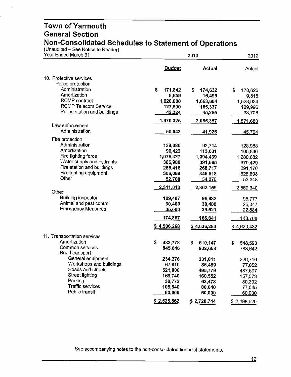(Unaudited – See Notice to Reader)

 $\ddot{\phantom{0}}$ 

| Year Ended March 31                                  |                   | 2013                 |                      |  |  |
|------------------------------------------------------|-------------------|----------------------|----------------------|--|--|
|                                                      | <b>Budget</b>     | <b>Actual</b>        | <b>Actual</b>        |  |  |
| 10. Protective services                              |                   |                      |                      |  |  |
| Police protection                                    |                   |                      |                      |  |  |
| Administration                                       | \$<br>171,842     | \$<br>174,632        | \$<br>170,626        |  |  |
| Amortization                                         | 8,659             | 16,499               | 9,318                |  |  |
| <b>RCMP</b> contract                                 | 1,620,000         | 1,663,604            | 1,528,034            |  |  |
| <b>RCMP Telecom Service</b>                          | 127,500           | 165,337              | 129,996              |  |  |
| Police station and buildings                         | 42,324            | 45,285               | 33,706               |  |  |
| Law enforcement                                      | 1,970,325         | 2,065,357            | 1,871,680            |  |  |
| Administration                                       | 50,043            | 41,926               |                      |  |  |
|                                                      |                   |                      | 45,704               |  |  |
| Fire protection<br>Administration                    |                   |                      |                      |  |  |
| Amortization                                         | 138,080<br>96,422 | 92,714               | 128,988              |  |  |
| Fire fighting force                                  | 1,076,327         | 113,631<br>1,094,439 | 105,830              |  |  |
| Water supply and hydrants                            | 385,980           | 391,565              | 1,280,682<br>370,429 |  |  |
| Fire station and buildings                           | 255,416           | 268,717              | 291,170              |  |  |
| Firefighting equipment                               | 306,088           | 346,818              | 328,893              |  |  |
| Other                                                | 52,700            | 54,275               | 53,348               |  |  |
|                                                      | 2,311,013         | 2,362,159            | 2,559,340            |  |  |
| Other                                                |                   |                      |                      |  |  |
| <b>Building inspector</b>                            | 109,487           | 96,832               | 95,777               |  |  |
| Animal and pest control<br><b>Emergency Measures</b> | 30,400            | 30,488               | 25,047               |  |  |
|                                                      | 35,000            | 39,521               | 22,884               |  |  |
|                                                      | 174,887           | 166,841              | 143,708              |  |  |
|                                                      | \$4,506,268       | \$4,636,283          | \$4,620,432          |  |  |
| 11. Transportation services                          |                   |                      |                      |  |  |
| Amortization                                         | \$<br>482,778     | \$<br>610,147        | \$<br>548,593        |  |  |
| Common services                                      | 845,646           | 932,653              | 783,642              |  |  |
| Road transport                                       |                   |                      |                      |  |  |
| General equipment                                    | 234,276           | 231,011              | 226,716              |  |  |
| Workshops and buildings                              | 67,810            | 86,489               | 77,052               |  |  |
| Roads and streets                                    | 521,000           | 495,779              | 487,697              |  |  |
| <b>Street lighting</b><br>Parking                    | 169,740           | 160,552              | 157,573              |  |  |
| <b>Traffic services</b>                              | 38,772<br>105,540 | 63,473               | 80,302               |  |  |
| Public transit                                       | 60,000            | 80,640<br>60,000     | 77,045<br>60,000     |  |  |
|                                                      |                   |                      |                      |  |  |
|                                                      | \$2,525,562       | \$2,720,744          | \$2,498,620          |  |  |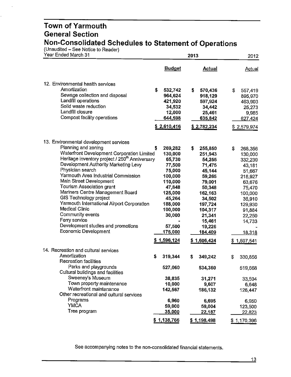(Unaudited – See Notice to Reader)

l,

| Year Ended March 31                                                                                                                                                                                                                                                                                                                                                                                                                                                                                                                                                   |                                                                                                                                                                                 | 2013                                                                                                                                                                                    |                                                                                                                                                                               |  |
|-----------------------------------------------------------------------------------------------------------------------------------------------------------------------------------------------------------------------------------------------------------------------------------------------------------------------------------------------------------------------------------------------------------------------------------------------------------------------------------------------------------------------------------------------------------------------|---------------------------------------------------------------------------------------------------------------------------------------------------------------------------------|-----------------------------------------------------------------------------------------------------------------------------------------------------------------------------------------|-------------------------------------------------------------------------------------------------------------------------------------------------------------------------------|--|
|                                                                                                                                                                                                                                                                                                                                                                                                                                                                                                                                                                       | <b>Budget</b>                                                                                                                                                                   | <b>Actual</b>                                                                                                                                                                           | Actual                                                                                                                                                                        |  |
| 12. Environmental health services<br>Amortization<br>Sewage collection and disposal<br>Landfill operations<br>Solid waste reduction<br>Landfill closure<br>Compost facility operations                                                                                                                                                                                                                                                                                                                                                                                | \$<br>532,742<br>964,624<br>421,920<br>34,532<br>12,000<br>644,598<br>\$2,610,416                                                                                               | \$<br>570,436<br>918,129<br>597,924<br>34,442<br>25,461<br>635,842<br>\$2,782,234                                                                                                       | \$<br>557,419<br>895,970<br>463,903<br>25,273<br>9,985<br>627,424<br>\$2,579,974                                                                                              |  |
| 13. Environmental development services<br>Planning and zoning<br>Waterfront Development Corporation Limited<br>Heritage inventory project / 250 <sup>th</sup> Anniversary<br>Development Authority Marketing Levy<br>Physician search<br>Yarmouth Area Industrial Commission<br>Main Street Development<br>Tourism Association grant<br>Mariners Centre Management Board<br>GIS Technology project<br>Yarmouth International Airport Corporation<br>Medical Clinic<br>Community events<br>Ferry service<br>Development studies and promotions<br>Economic Development | \$<br>269,282<br>130,000<br>65,730<br>77,500<br>75,000<br>100,000<br>110,000<br>47,848<br>125,000<br>45,264<br>188,000<br>100,000<br>30,000<br>57,500<br>175,000<br>\$1,596,124 | \$<br>255,850<br>251,943<br>54,255<br>71,475<br>45,144<br>59,265<br>79,001<br>50,348<br>162,163<br>34,502<br>197,724<br>104,317<br>21,341<br>15,461<br>19,226<br>184,409<br>\$1,606,424 | \$<br>268,356<br>130,000<br>332,239<br>43,181<br>51,667<br>218,927<br>63,676<br>75,470<br>100,000<br>36,910<br>129,930<br>91,884<br>22,250<br>14,733<br>18,318<br>\$1,597,541 |  |
| 14. Recreation and cultural services<br>Amortization<br>Recreation facilities<br>Parks and playgrounds<br>Cultural buildings and facilities<br>Sweeney's Museum<br>Town property maintenance<br>Waterfront maintenance<br>Other recreational and cultural services<br>Programs<br><b>YMCA</b><br>Tree program                                                                                                                                                                                                                                                         | \$<br>319,344<br>527,060<br>38,835<br>10,000<br>142,567<br>6,960<br>59,000<br>35,000<br>\$1,138,766                                                                             | \$<br>349,242<br>534,360<br>31,271<br>9,607<br>186,132<br>6,695<br>59,004<br>22,187<br>\$1,198,498                                                                                      | \$<br>330,856<br>519,668<br>33,504<br>6,648<br>126,447<br>6,950<br>123,500<br>22,823<br>\$1,170,396                                                                           |  |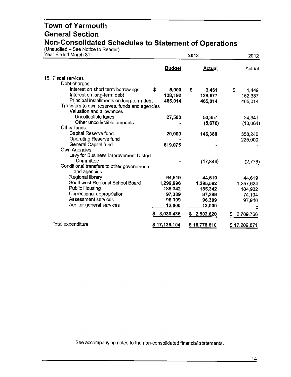(Unaudited – See Notice to Reader)

 $\ddot{\phantom{a}}$ 

Ċ,

| Year Ended March 31                           |               | 2013          |                  |  |
|-----------------------------------------------|---------------|---------------|------------------|--|
|                                               | <b>Budget</b> | <b>Actual</b> | Actual           |  |
| 15. Fiscal services                           |               |               |                  |  |
| Debt charges                                  |               |               |                  |  |
| Interest on short term borrowings             | \$<br>5,000   | \$<br>3,461   | \$<br>1,449      |  |
| Interest on long-term debt                    | 138,192       | 129,677       | 152,337          |  |
| Principal installments on long-term debt      | 465,014       | 465,014       | 465,014          |  |
| Transfers to own reserves, funds and agencies |               |               |                  |  |
| Valuation and allowances                      |               |               |                  |  |
| Uncollectible taxes                           | 27,500        | 50,357        | 24,341           |  |
| Other uncollectible amounts                   |               | (5,676)       | (13,064)         |  |
| Other funds                                   |               |               |                  |  |
| Capital Reserve fund                          | 20,000        | 146,380       | 358,240          |  |
| Operating Reserve fund                        |               |               | 225,000          |  |
| General Capital fund                          | 619,075       |               |                  |  |
| Own Agencies                                  |               |               |                  |  |
| Levy for Business Improvement District        |               |               |                  |  |
| Committee                                     |               | (17, 844)     | (2,776)          |  |
| Conditional transfers to other governments    |               |               |                  |  |
| and agencies                                  |               |               |                  |  |
| Regional library                              | 64,619        | 44,619        | 44,619           |  |
| Southwest Regional School Board               | 1,299,996     | 1,295,592     | 1,257,624        |  |
| <b>Public Housing</b>                         | 185,342       | 185,342       | 104,932          |  |
| Correctional appropriation                    | 97,389        | 97,389        | 74,104           |  |
| Assessment services                           | 96,309        | 96,309        | 97,946           |  |
| Auditor general services                      | 12,000        | 12,000        |                  |  |
|                                               |               |               |                  |  |
|                                               | 3,030,436     | \$2,502,620   | 2,789,766<br>\$  |  |
| Total expenditure                             | \$17,136,104  | \$16,778,610  | 17,209,871<br>S. |  |
|                                               |               |               |                  |  |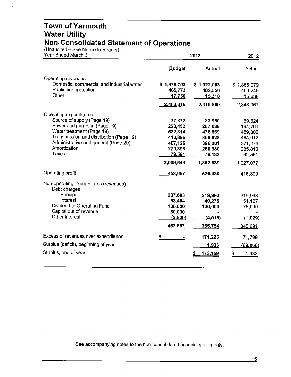#### **Town of Yarmouth Water Utility Non-Consolidated Statement of Operations**

(Unaudited - See Notice to Reader)

 $\overline{a}$ 

 $\ddot{\phantom{0}}$ 

| Year Ended March 31                                   |               | 2012                |                 |
|-------------------------------------------------------|---------------|---------------------|-----------------|
|                                                       | <b>Budget</b> | <b>Actual</b>       | <b>Actual</b>   |
| Operating revenues                                    |               |                     |                 |
| Domestic, commercial and industrial water             | \$1,979,793   | \$1,922,003         | \$1,868,079     |
| Public fire protection                                | 465,773       | 482,556             | 460,249         |
| Other                                                 | 17,750        | 15,310              | 15,639          |
|                                                       | 2,463,316     | 2,419,869           | 2,343,967       |
| Operating expenditures                                |               |                     |                 |
| Source of supply (Page 19)                            | 77,872        | 83,960              | 69,324          |
| Power and pumping (Page 19)                           | 228,452       | 207,089             | 194,799         |
| Water treatment (Page 19)                             | 532,314       | 476,569             | 459,302         |
| Transmission and distribution (Page 19)               | 413,896       | 368,828             | 464,012         |
| Administrative and general (Page 20)                  | 407,126       | 396,281             | 371,279         |
| Amortization<br>Taxes                                 | 270,398       | 280,980             | 285,810         |
|                                                       | 79,591        | 79,182              | 82,551          |
|                                                       | 2,009,649     | 1,892,889           | 1,927,077       |
| Operating profit                                      | 453,667       | 526,980             | 416,890         |
| Non-operating expenditures (revenues)<br>Debt charges |               |                     |                 |
| Principal                                             | 237,683       | 219,993             | 219,993         |
| Interest                                              | 68,484        | 40,276              | 51,127          |
| Dividend to Operating Fund                            | 100,000       | 100,000             | 75,000          |
| Capital out of revenue                                | 50,000        |                     |                 |
| Other interest                                        | (2,500)       | (4, 515)            | (1,029)         |
|                                                       | 453,667       | 355,754             | 345,091         |
| Excess of revenues over expenditures                  |               | 171,226             | 71,799          |
| Surplus (deficit), beginning of year                  |               | 1,933               | <u>(69,866)</u> |
| Surplus, end of year                                  |               | <u>173,159</u><br>5 | 1,933<br>\$     |
|                                                       |               |                     |                 |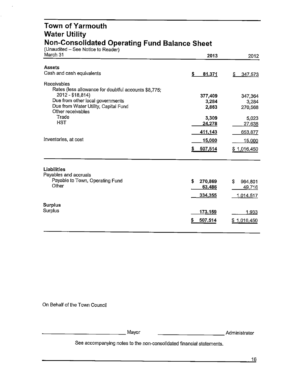#### **Town of Yarmouth Water Utility Non-Consolidated Operating Fund Balance Sheet**

(Unaudited – See Notice to Reader)

 $\overline{a}$ 

l.

| March 31                                                                   | 2013                    | 2012                   |
|----------------------------------------------------------------------------|-------------------------|------------------------|
| <b>Assets</b>                                                              |                         |                        |
| Cash and cash equivalents                                                  | \$<br>81,371            | S.<br>347,573          |
| <b>Receivables</b><br>Rates (less allowance for doubtful accounts \$8,775; |                         |                        |
| 2012 - \$18,814)                                                           | 377,409                 | 347,364                |
| Due from other local governments                                           | 3,284                   | 3,284                  |
| Due from Water Utility, Capital Fund<br>Other receivables                  | 2,863                   | 270,568                |
| Trade                                                                      | 3,309                   | 5,023                  |
| <b>HST</b>                                                                 | 24,278                  | 27,638                 |
|                                                                            | 411,143                 | 653,877                |
| Inventories, at cost                                                       | 15,000                  | 15,000                 |
|                                                                            | 507,514<br>s            | \$1,016,450            |
| Liabilities                                                                |                         |                        |
| Payables and accruals<br>Payable to Town, Operating Fund                   |                         |                        |
| Other                                                                      | \$<br>270,869<br>63,486 | S<br>964,801<br>49,716 |
|                                                                            | 334,355                 | 1.014,517              |
|                                                                            |                         |                        |
| <b>Surplus</b>                                                             |                         |                        |
| Surplus                                                                    | 173,159                 | 1,933                  |
|                                                                            | 507,514<br>S            | \$1,016,450            |
|                                                                            |                         |                        |

On Behalf of the Town Council

-------------Mayor -----------Administrator

Administrator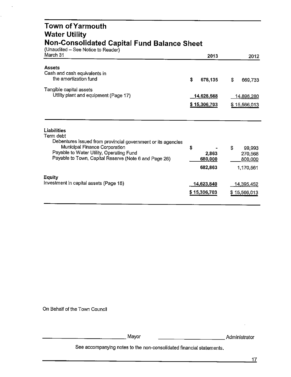| Town of Yarmouth<br><b>Water Utility</b>                                                                                                                                                                                       |                                   |                                                 |
|--------------------------------------------------------------------------------------------------------------------------------------------------------------------------------------------------------------------------------|-----------------------------------|-------------------------------------------------|
| <b>Non-Consolidated Capital Fund Balance Sheet</b><br>(Unaudited - See Notice to Reader)<br>March 31                                                                                                                           | 2013                              | 2012                                            |
| <b>Assets</b><br>Cash and cash equivalents in<br>the amortization fund                                                                                                                                                         | \$<br>678,135                     | \$<br>669,733                                   |
| Tangible capital assets<br>Utility plant and equipment (Page 17)                                                                                                                                                               | 14,628,568<br>\$15,306,703        | 14,896,280<br>\$15,566,013                      |
| Liabilities<br>Term debt<br>Debentures issued from provincial government or its agencies<br>Municipal Finance Corporation<br>Payable to Water Utility, Operating Fund<br>Payable to Town, Capital Reserve (Note 6 and Page 26) | \$<br>2,863<br>680,000<br>682,863 | \$<br>99,993<br>270,568<br>800,000<br>1,170,561 |
| <b>Equity</b><br>Investment in capital assets (Page 18)                                                                                                                                                                        | 14,623,840<br>\$15,306,703        | 14,395,452<br>\$15,566,013                      |

On Behalf of the Town Council

 $\ddot{\phantom{a}}$ 

 $\epsilon$ 

\_\_\_\_\_\_\_\_\_\_\_\_\_ Mayor \_\_\_\_\_\_\_\_\_\_ Administrator

 $\ddot{\phantom{0}}$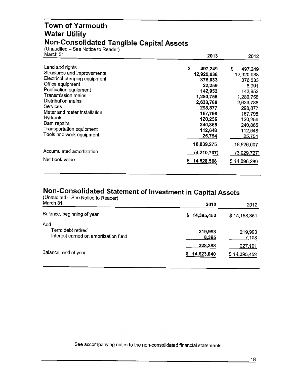#### **Town of Yarmouth Water Utility Non-Consolidated Tangible Capital Assets**

(Unaudited - See Notice to Reader) March 31

| March 31                        | 2013          | 2012          |
|---------------------------------|---------------|---------------|
| Land and rights                 | \$<br>497,249 | \$<br>497,249 |
| Structures and improvements     | 12,920,038    | 12,920,038    |
| Electrical pumping equipment    | 376,033       | 376,033       |
| Office equipment                | 22,259        | 8,991         |
| Purification equipment          | 142,952       | 142,952       |
| Transmission mains              | 1,280,758     | 1,280,758     |
| Distribution mains              | 2,633,788     | 2,633,788     |
| Services                        | 298,877       | 298,877       |
| Meter and meter installation    | 167,798       | 167.798       |
| Hydrants                        | 120,256       | 120,256       |
| Dam repairs                     | 240,865       | 240,865       |
| <b>Transportation equipment</b> | 112,648       | 112,648       |
| Tools and work equipment        | 25,754        | 25,754        |
|                                 | 18,839,275    | 18,826,007    |
| Accumulated amortization        | (4, 210, 707) | (3,929,727)   |
| Net book value                  | 14,628,568    | \$14,896,280  |

#### **Non-Consolidated Statement of Investment in Capital Assets**

| (Unaudited $\sim$ See Notice to Reader)<br>March 31              | 2013                  | 2012                    |
|------------------------------------------------------------------|-----------------------|-------------------------|
| Balance, beginning of year                                       | 14,395,452<br>S.      | \$14,168,351            |
| Add<br>Term debt retired<br>Interest earned on amortization fund | 219,993<br>8,395      | 219,993<br>7,108        |
| Balance, end of year                                             | 228,388<br>14,623,840 | 227,101<br>\$14,395,452 |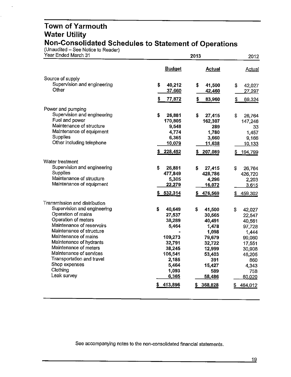#### **Town of Yarmouth Water Utility Non-Consolidated Schedules to Statement of Operations**

(Unaudited – See Notice to Reader)

| Year Ended March 31                              |               | 2012             |                  |
|--------------------------------------------------|---------------|------------------|------------------|
|                                                  | <b>Budget</b> | <b>Actual</b>    | Actual           |
| Source of supply                                 |               |                  |                  |
| Supervision and engineering                      | \$<br>40,212  | \$<br>41,500     | \$<br>42,027     |
| Other                                            | 37,660        | 42,460           | 27,297           |
|                                                  | \$<br>77,872  | \$<br>83,960     | \$<br>69,324     |
| Power and pumping                                |               |                  |                  |
| Supervision and engineering                      | \$<br>26,881  | \$<br>27,415     | \$<br>26,764     |
| Fuel and power                                   | 170,805       | 162,307          | 147,246          |
| Maintenance of structure                         | 9,548         | 289              | 33               |
| Maintenance of equipment                         | 4,774         | 1,780            | 1,457            |
| Supplies                                         | 6,365         | 3,660            | 9,166            |
| Other including telephone                        | 10,079        | 11,638           | 10,133           |
|                                                  | 228,452       | 207,089<br>5     | \$<br>194,799    |
| Water treatment                                  |               |                  |                  |
| Supervision and engineering                      | \$<br>26,881  | \$<br>27,415     | \$<br>26,764     |
| Supplies                                         | 477,849       | 428,786          | 426,720          |
| Maintenance of structure                         | 5,305         | 4,296            | 2,203            |
| Maintenance of equipment                         | 22,279        | 16,072           | 3,615            |
|                                                  | \$532,314     | 476,569<br>s     | 459,302<br>\$    |
| Transmission and distribution                    |               |                  |                  |
| Supervision and engineering                      | \$<br>40,649  | \$<br>41,500     | \$<br>42,027     |
| Operation of mains                               | 27,537        | 30,565           | 22,547           |
| Operation of meters<br>Maintenance of reservoirs | 38,289        | 40,491           | 40,561           |
| Maintenance of structure                         | 5,464         | 1,478            | 97,728           |
| Maintenance of mains                             | 109,273       | 1,098            | 1,444            |
| Maintenance of hydrants                          | 32,791        | 79,679<br>32,722 | 99,060<br>17,551 |
| Maintenance of meters                            | 38,245        | 12,999           | 30,908           |
| Maintenance of services                          | 106,541       | 53,403           | 46,205           |
| Transportation and travel                        | 2,185         | 391              | 860              |
| Shop expenses                                    | 5,464         | 15,427           | 4,343            |
| Clothing                                         | 1,093         | 589              | 758              |
| Leak survey                                      | 6,365         | 58,486           | 60,020           |
|                                                  | 413,896       | 368,828<br>5     | 464,012<br>\$    |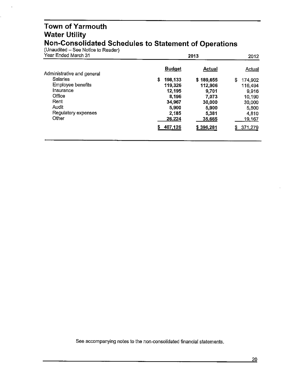#### **Town of Yarmouth Water Utility Non-Consolidated Schedules to Statement of Operations**

 $($ Unaudited - See Notice to Reader)

| Year Ended March 31        | 2013          | 2012      |               |
|----------------------------|---------------|-----------|---------------|
| Administrative and general | <b>Budget</b> | Actual    | Actual        |
| <b>Salaries</b>            | s.<br>198,133 | \$189,655 | \$<br>174,902 |
| Employee benefits          | 119,326       | 112,906   | 116,494       |
| Insurance                  | 12,195        | 9,701     | 9,916         |
| Office                     | 8,196         | 7.073     | 10,190        |
| Rent                       | 34,967        | 30,000    | 30,000        |
| Audit                      | 5,900         | 5,900     | 5,800         |
| Regulatory expenses        | 2,185         | 5,381     | 4,810         |
| Other                      | 26,224        | 35,665    | 19,167        |
|                            | 407,126       | \$396,281 | \$371,279     |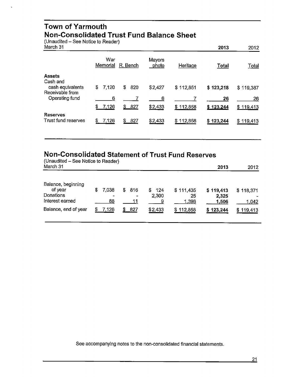#### **Town of Yarmouth Non-Consolidated Trust Fund Balance Sheet**

(Unaudited - See Notice to Reader)

| March 31                                                         |                 |           |                 |              | 2013         | 2012         |
|------------------------------------------------------------------|-----------------|-----------|-----------------|--------------|--------------|--------------|
|                                                                  | War<br>Memorial | R. Bench  | Mayors<br>photo | Heritage     | <b>Total</b> | <u>Total</u> |
| <b>Assets</b><br>Cash and<br>cash equivalents<br>Receivable from | 7,120<br>S      | \$<br>820 | \$2,427         | \$112,851    | \$123,218    | \$119,387    |
| Operating fund                                                   | 6               |           | 6               |              | 26           | 26           |
|                                                                  | \$<br>7,126     | \$<br>827 | \$2,433         | \$112,858    | \$123,244    | \$119,413    |
| <b>Reserves</b><br>Trust fund reserves                           | 7,126<br>S      | 827<br>S  | \$2,433         | 112,858<br>S | \$123,244    | \$119,413    |

### **Non-Consolidated Statement of Trust Fund Reserves**

| (Unaudited – See Notice to Reader)<br>March 31                |   |             |   |                        |                     |                          | 2013                        | 2012               |
|---------------------------------------------------------------|---|-------------|---|------------------------|---------------------|--------------------------|-----------------------------|--------------------|
| Balance, beginning<br>of year<br>Donations<br>Interest earned | S | 7,038<br>88 | S | 816<br>$\bullet$<br>11 | \$124<br>2,300<br>9 | \$111,435<br>25<br>1,398 | \$119,413<br>2,325<br>1.506 | \$118,371<br>1,042 |
| Balance, end of year                                          |   | 7.126       |   | 827                    | \$2,433             | \$112,858                | \$123,244                   | \$119,413          |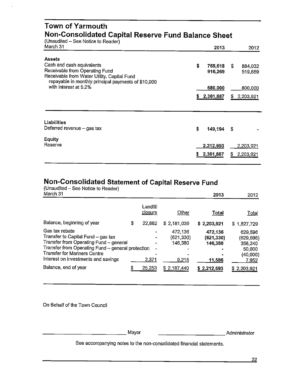| Town of Yarmouth<br>Non-Consolidated Capital Reserve Fund Balance Sheet<br>(Unaudited - See Notice to Reader)                        |    |           |    |                  |  |  |
|--------------------------------------------------------------------------------------------------------------------------------------|----|-----------|----|------------------|--|--|
| March 31                                                                                                                             |    | 2013      |    | 2012             |  |  |
| Assets<br>Cash and cash equivalents                                                                                                  | \$ | 765,618   | S  | 884,032          |  |  |
| Receivable from Operating Fund<br>Receivable from Water Utility, Capital Fund<br>repayable in monthly principal payments of \$10,000 |    | 916,269   |    | 519,889          |  |  |
| with interest at 5.2%                                                                                                                |    | 680,000   |    | 800,000          |  |  |
|                                                                                                                                      |    | 2,361,887 | S. | 2,203,921        |  |  |
|                                                                                                                                      |    |           |    |                  |  |  |
| <b>Liabilities</b>                                                                                                                   |    |           |    |                  |  |  |
| Deferred revenue - gas tax                                                                                                           | \$ | 149,194   | S  |                  |  |  |
| Equity<br>Reserve                                                                                                                    |    | 2,212,693 |    | <u>2,203,921</u> |  |  |
|                                                                                                                                      | s  | 2,361,887 | S  | 2,203,921        |  |  |
|                                                                                                                                      |    |           |    |                  |  |  |

## **Non-Consolidated Statement of Capital Reserve Fund**

(Unaudited  $-$  See Notice to Reader)<br>March 31 March 31 **2013** 2012

|                                                                                                                                                                                              |   | Landfili<br>closure | Other                           | <b>Total</b>                     | <u>Total</u>                              |
|----------------------------------------------------------------------------------------------------------------------------------------------------------------------------------------------|---|---------------------|---------------------------------|----------------------------------|-------------------------------------------|
| Balance, beginning of year                                                                                                                                                                   | S | 22,882              | \$2,181,039                     | \$2,203,921                      | \$1,827,729                               |
| Gas tax rebate<br>Transfer to Capital Fund - gas tax<br>Transfer from Operating Fund $-$ general<br>Transfer from Operating Fund - general protection<br><b>Transfer for Mariners Centre</b> |   |                     | 472,136<br>(621,330)<br>146,380 | 472,136<br>(621, 330)<br>146,380 | 629,596<br>(629,596)<br>358,240<br>50,000 |
| Interest on investments and savings                                                                                                                                                          |   | 2,371               | 9,215                           | 11.586                           | (40,000)<br>7,952                         |
| Balance, end of year                                                                                                                                                                         | S | 25,253              | \$2,187,440                     | \$2,212,693                      | 2,203,921                                 |

On Behalf of the Town Council

-------------Mayor \_\_\_\_\_\_\_\_\_\_\_ Administrator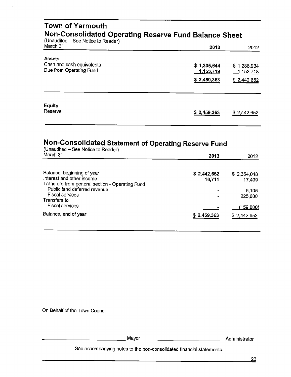| <b>Town of Yarmouth</b><br>Non-Consolidated Operating Reserve Fund Balance Sheet<br>(Unaudited - See Notice to Reader) |                                         |                                         |  |  |  |  |
|------------------------------------------------------------------------------------------------------------------------|-----------------------------------------|-----------------------------------------|--|--|--|--|
| March 31                                                                                                               | 2013                                    | 2012                                    |  |  |  |  |
| <b>Assets</b><br>Cash and cash equivalents<br>Due from Operating Fund                                                  | \$1,305,644<br>1,153,719<br>\$2,459,363 | \$1,288,934<br>1,153,718<br>\$2,442,652 |  |  |  |  |
| Equity<br>Reserve                                                                                                      | \$2,459,363                             | \$2,442,652                             |  |  |  |  |

## **Non-Consolidated Statement of Operating Reserve Fund**

| (Unaudited - See Notice to Reader)<br>March 31                                                             |  |                       |                       |
|------------------------------------------------------------------------------------------------------------|--|-----------------------|-----------------------|
|                                                                                                            |  | 2013                  | 2012                  |
| Balance, beginning of year<br>Interest and other income<br>Transfers from general section - Operating Fund |  | \$2,442,652<br>16,711 | \$2,354,048<br>17,499 |
| Public land deferred revenue<br>Fiscal services<br>Transfers to                                            |  | ٠                     | 5.105<br>225,000      |
| Fiscal services                                                                                            |  |                       | (159,000)             |
| Balance, end of year                                                                                       |  | \$2,459,363           | \$2,442,652           |

On Behalf of the Town Council

-------------Mayor

 $\ddot{\phantom{1}}$ 

Mayor

\_\_\_\_\_\_\_\_\_\_\_ Administrator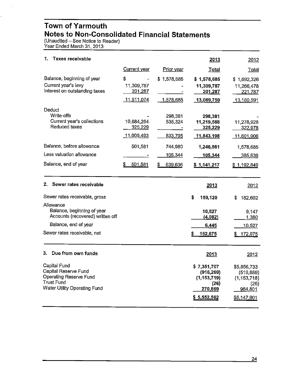#### **Town of Yarmouth Notes to Non-Consolidated Financial Statements**

(Unaudited  $-$  See Notice to Reader) Year Ended March 31, 2013

| 1.<br><b>Taxes receivable</b>                                                                                                      |                                                |                                                     | 2013                                                                         | 2012                                                                         |
|------------------------------------------------------------------------------------------------------------------------------------|------------------------------------------------|-----------------------------------------------------|------------------------------------------------------------------------------|------------------------------------------------------------------------------|
|                                                                                                                                    | Current year                                   | Prior year                                          | Total                                                                        | Total                                                                        |
| Balance, beginning of year<br>Current year's levy<br>Interest on outstanding taxes                                                 | \$<br>11,309,787<br>201,287<br>11,511,074      | \$1,578,685<br>1,578,685                            | \$1,578,685<br>11,309,787<br>201,287<br>13,089,759                           | \$1,692,326<br>11,266,478<br>221,787<br>13,180,591                           |
| Deduct<br>Write-offs<br>Current year's collections<br>Reduced taxes<br>Balance, before allowance<br>Less valuation allowance       | 10,684,264<br>325,229<br>11,009,493<br>501,581 | 298,381<br>535,324<br>833,705<br>744,980<br>105,344 | 298,381<br>11,219,588<br>325,229<br>11,843,198<br>1,246,561<br>105,344       | 11,278,928<br>322,978<br>11,601,906<br>1,578,685<br>385,836                  |
| Balance, end of year                                                                                                               | \$<br>501,581                                  | \$<br>639,636                                       | \$1,141,217                                                                  | \$1,192,849                                                                  |
| Sewer rates receivable<br>2.                                                                                                       |                                                |                                                     | 2013                                                                         | 2012                                                                         |
| Sewer rates receivable, gross                                                                                                      |                                                |                                                     | \$<br>159,120                                                                | \$<br>182,602                                                                |
| Allowance<br>Balance, beginning of year<br>Accounts (recovered) written off<br>Balance, end of year<br>Sewer rates receivable, net |                                                |                                                     | 10,527<br>(4,082)<br>6,445<br>152,675<br>5                                   | 9,147<br>1,380<br>10,527<br>172,075<br>\$                                    |
| 3. Due from own funds                                                                                                              |                                                |                                                     | 2013                                                                         | 2012                                                                         |
| Capital Fund<br>Capital Reserve Fund<br><b>Operating Reserve Fund</b><br><b>Trust Fund</b><br>Water Utility Operating Fund         |                                                |                                                     | \$7,351,707<br>(916, 269)<br>(1, 153, 719)<br>(26)<br>270,869<br>\$5,552,562 | \$5,856,733<br>(519, 889)<br>(1, 153, 718)<br>(26)<br>964,801<br>\$5,147,901 |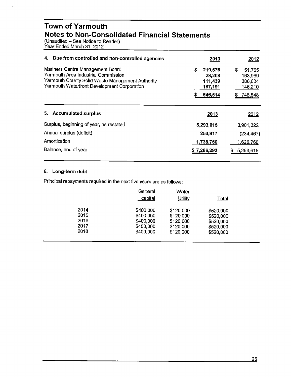#### **Town of Yarmouth Notes to Non-Consolidated Financial Statements**

(Unaudited – See Notice to Reader) Year Ended March 31, 2012

| Due from controlled and non-controlled agencies<br>4.                                                                                                                      | 2013                                                          | 2012                                                         |
|----------------------------------------------------------------------------------------------------------------------------------------------------------------------------|---------------------------------------------------------------|--------------------------------------------------------------|
| Mariners Centre Management Board<br>Yarmouth Area Industrial Commission<br>Yarmouth County Solid Waste Management Authority<br>Yarmouth Waterfront Development Corporation | \$<br>219,676<br>28,208<br>111,439<br>187,191<br>546,514<br>5 | S<br>51,765<br>163,969<br>386,604<br>146,210<br>748,548<br>S |
| 5. Accumulated surplus                                                                                                                                                     | 2013                                                          | 2012                                                         |
| Surplus, beginning of year, as restated                                                                                                                                    | 5,293,615                                                     | 3,901,322                                                    |
| Annual surplus (deficit)                                                                                                                                                   | 253,917                                                       | (234, 467)                                                   |
| Amortization                                                                                                                                                               | 1,738,760                                                     | 1,626,760                                                    |
| Balance, end of year                                                                                                                                                       |                                                               |                                                              |

#### **6. Long-term debt**

Principal repayments required in the next five years are as follows:

|      | General<br>capital | Water<br><b>Utility</b> | <b>Total</b> |  |
|------|--------------------|-------------------------|--------------|--|
| 2014 | \$400,000          | \$120,000               | \$520,000    |  |
| 2015 | \$400,000          | \$120,000               | \$520,000    |  |
| 2016 | \$400,000          | \$120,000               | \$520,000    |  |
| 2017 | \$400,000          | \$120,000               | \$520,000    |  |
| 2018 | \$400,000          | \$120,000               | \$520,000    |  |